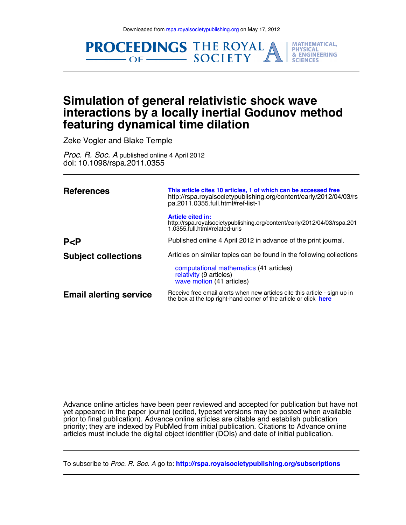**MATHEMATICAL, PHYSICAL** & ENGINEERING **SCIENCES** 

**PROCEEDINGS THE ROYAL AND SOCIETY** 



Zeke Vogler and Blake Temple

doi: 10.1098/rspa.2011.0355 *Proc. R. Soc. A* published online 4 April 2012

| <b>References</b>             | This article cites 10 articles, 1 of which can be accessed free<br>http://rspa.royalsocietypublishing.org/content/early/2012/04/03/rs<br>pa.2011.0355.full.html#ref-list-1 |
|-------------------------------|----------------------------------------------------------------------------------------------------------------------------------------------------------------------------|
|                               | <b>Article cited in:</b><br>http://rspa.royalsocietypublishing.org/content/early/2012/04/03/rspa.201<br>1.0355.full.html#related-urls                                      |
| P < P                         | Published online 4 April 2012 in advance of the print journal.                                                                                                             |
| <b>Subject collections</b>    | Articles on similar topics can be found in the following collections                                                                                                       |
|                               | computational mathematics (41 articles)<br>relativity (9 articles)<br>wave motion (41 articles)                                                                            |
| <b>Email alerting service</b> | Receive free email alerts when new articles cite this article - sign up in<br>the box at the top right-hand corner of the article or click here                            |

articles must include the digital object identifier (DOIs) and date of initial publication. priority; they are indexed by PubMed from initial publication. Citations to Advance online prior to final publication). Advance online articles are citable and establish publication yet appeared in the paper journal (edited, typeset versions may be posted when available Advance online articles have been peer reviewed and accepted for publication but have not

To subscribe to *Proc. R. Soc. A* go to: **http://rspa.royalsocietypublishing.org/subscriptions**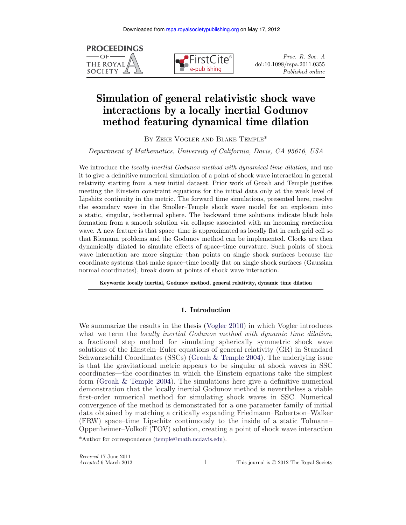



*Proc. R. Soc. A* doi:10.1098/rspa.2011.0355 *Published online*

# **Simulation of general relativistic shock wave interactions by a locally inertial Godunov method featuring dynamical time dilation**

BY ZEKE VOGLER AND BLAKE TEMPLE\*

*Department of Mathematics, University of California, Davis, CA 95616, USA*

We introduce the *locally inertial Godunov method with dynamical time dilation*, and use it to give a definitive numerical simulation of a point of shock wave interaction in general relativity starting from a new initial dataset. Prior work of Groah and Temple justifies meeting the Einstein constraint equations for the initial data only at the weak level of Lipshitz continuity in the metric. The forward time simulations, presented here, resolve the secondary wave in the Smoller–Temple shock wave model for an explosion into a static, singular, isothermal sphere. The backward time solutions indicate black hole formation from a smooth solution via collapse associated with an incoming rarefaction wave. A new feature is that space–time is approximated as locally flat in each grid cell so that Riemann problems and the Godunov method can be implemented. Clocks are then dynamically dilated to simulate effects of space–time curvature. Such points of shock wave interaction are more singular than points on single shock surfaces because the coordinate systems that make space–time locally flat on single shock surfaces (Gaussian normal coordinates), break down at points of shock wave interaction.

**Keywords: locally inertial, Godunov method, general relativity, dynamic time dilation**

# **1. Introduction**

We summarize the results in the thesis (Vogler 2010) in which Vogler introduces what we term the *locally inertial Godunov method with dynamic time dilation*, a fractional step method for simulating spherically symmetric shock wave solutions of the Einstein–Euler equations of general relativity (GR) in Standard Schwarzschild Coordinates (SSCs) (Groah & Temple 2004). The underlying issue is that the gravitational metric appears to be singular at shock waves in SSC coordinates—the coordinates in which the Einstein equations take the simplest form (Groah & Temple 2004). The simulations here give a definitive numerical demonstration that the locally inertial Godunov method is nevertheless a viable first-order numerical method for simulating shock waves in SSC. Numerical convergence of the method is demonstrated for a one parameter family of initial data obtained by matching a critically expanding Friedmann–Robertson–Walker (FRW) space–time Lipschitz continuously to the inside of a static Tolmann– Oppenheimer–Volkoff (TOV) solution, creating a point of shock wave interaction

\*Author for correspondence (temple@math.ucdavis.edu).

*Received* 17 June 2011

**Accepted** 4 March 2012 The Royal Society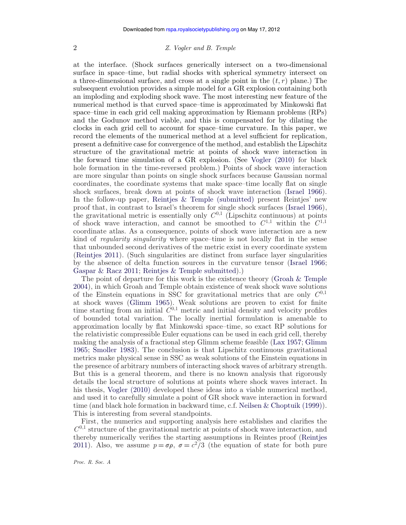at the interface. (Shock surfaces generically intersect on a two-dimensional surface in space–time, but radial shocks with spherical symmetry intersect on a three-dimensional surface, and cross at a single point in the  $(t, r)$  plane.) The subsequent evolution provides a simple model for a GR explosion containing both an imploding and exploding shock wave. The most interesting new feature of the numerical method is that curved space–time is approximated by Minkowski flat space–time in each grid cell making approximation by Riemann problems (RPs) and the Godunov method viable, and this is compensated for by dilating the clocks in each grid cell to account for space–time curvature. In this paper, we record the elements of the numerical method at a level sufficient for replication, present a definitive case for convergence of the method, and establish the Lipschitz structure of the gravitational metric at points of shock wave interaction in the forward time simulation of a GR explosion. (See Vogler (2010) for black hole formation in the time-reversed problem.) Points of shock wave interaction are more singular than points on single shock surfaces because Gaussian normal coordinates, the coordinate systems that make space–time locally flat on single shock surfaces, break down at points of shock wave interaction (Israel 1966). In the follow-up paper, Reintjes & Temple (submitted) present Reintjes' new proof that, in contrast to Israel's theorem for single shock surfaces (Israel 1966), the gravitational metric is essentially only  $C^{0,1}$  (Lipschitz continuous) at points of shock wave interaction, and cannot be smoothed to  $C^{1,1}$  within the  $C^{1,1}$ coordinate atlas. As a consequence, points of shock wave interaction are a new kind of *regularity singularity* where space–time is not locally flat in the sense that unbounded second derivatives of the metric exist in every coordinate system (Reintjes 2011). (Such singularities are distinct from surface layer singularities by the absence of delta function sources in the curvature tensor (Israel 1966; Gaspar & Racz 2011; Reintjes & Temple submitted).)

The point of departure for this work is the existence theory (Groah & Temple 2004), in which Groah and Temple obtain existence of weak shock wave solutions of the Einstein equations in SSC for gravitational metrics that are only  $C^{0,1}$ at shock waves (Glimm 1965). Weak solutions are proven to exist for finite time starting from an initial  $\hat{C}^{0,1}$  metric and initial density and velocity profiles of bounded total variation. The locally inertial formulation is amenable to approximation locally by flat Minkowski space–time, so exact RP solutions for the relativistic compressible Euler equations can be used in each grid cell, thereby making the analysis of a fractional step Glimm scheme feasible (Lax 1957; Glimm 1965; Smoller 1983). The conclusion is that Lipschitz continuous gravitational metrics make physical sense in SSC as weak solutions of the Einstein equations in the presence of arbitrary numbers of interacting shock waves of arbitrary strength. But this is a general theorem, and there is no known analysis that rigorously details the local structure of solutions at points where shock waves interact. In his thesis, Vogler (2010) developed these ideas into a viable numerical method, and used it to carefully simulate a point of GR shock wave interaction in forward time (and black hole formation in backward time, c.f. Neilsen & Choptuik (1999)). This is interesting from several standpoints.

First, the numerics and supporting analysis here establishes and clarifies the  $C^{0,1}$  structure of the gravitational metric at points of shock wave interaction, and thereby numerically verifies the starting assumptions in Reintes proof (Reintjes 2011). Also, we assume  $p = \sigma \rho$ ,  $\sigma = c^2/3$  (the equation of state for both pure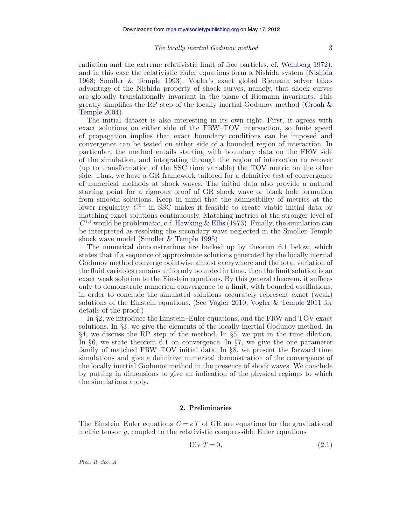radiation and the extreme relativistic limit of free particles, cf. Weinberg 1972), and in this case the relativistic Euler equations form a Nishida system (Nishida 1968; Smoller & Temple 1993). Vogler's exact global Riemann solver takes advantage of the Nishida property of shock curves, namely, that shock curves are globally translationally invariant in the plane of Riemann invariants. This greatly simplifies the RP step of the locally inertial Godunov method (Groah & Temple 2004).

The initial dataset is also interesting in its own right. First, it agrees with exact solutions on either side of the FRW–TOV intersection, so finite speed of propagation implies that exact boundary conditions can be imposed and convergence can be tested on either side of a bounded region of interaction. In particular, the method entails starting with boundary data on the FRW side of the simulation, and integrating through the region of interaction to recover (up to transformation of the SSC time variable) the TOV metric on the other side. Thus, we have a GR framework tailored for a definitive test of convergence of numerical methods at shock waves. The initial data also provide a natural starting point for a rigorous proof of GR shock wave or black hole formation from smooth solutions. Keep in mind that the admissibility of metrics at the lower regularity  $C^{0,1}$  in SSC makes it feasible to create viable initial data by matching exact solutions continuously. Matching metrics at the stronger level of  $C^{1,1}$  would be problematic, c.f. Hawking & Ellis (1973). Finally, the simulation can be interpreted as resolving the secondary wave neglected in the Smoller Temple shock wave model (Smoller & Temple 1995)

The numerical demonstrations are backed up by theorem 6.1 below, which states that if a sequence of approximate solutions generated by the locally inertial Godunov method converge pointwise almost everywhere and the total variation of the fluid variables remains uniformly bounded in time, then the limit solution is an exact weak solution to the Einstein equations. By this general theorem, it suffices only to demonstrate numerical convergence to a limit, with bounded oscillations, in order to conclude the simulated solutions accurately represent exact (weak) solutions of the Einstein equations. (See Vogler 2010; Vogler & Temple 2011 for details of the proof.)

In §2, we introduce the Einstein–Euler equations, and the FRW and TOV exact solutions. In §3, we give the elements of the locally inertial Godunov method. In §4, we discuss the RP step of the method. In §5, we put in the time dilation. In  $\S6$ , we state theorem 6.1 on convergence. In  $\S7$ , we give the one parameter family of matched FRW–TOV initial data. In §8, we present the forward time simulations and give a definitive numerical demonstration of the convergence of the locally inertial Godunov method in the presence of shock waves. We conclude by putting in dimensions to give an indication of the physical regimes to which the simulations apply.

#### **2. Preliminaries**

The Einstein–Euler equations  $G = \kappa T$  of GR are equations for the gravitational metric tensor  $q$ , coupled to the relativistic compressible Euler equations

$$
Div T = 0,\t(2.1)
$$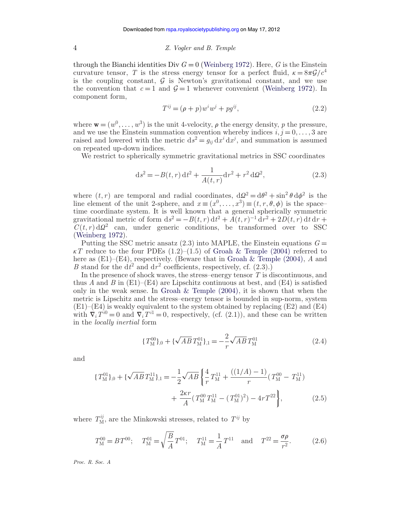through the Bianchi identities Div  $G = 0$  (Weinberg 1972). Here,  $G$  is the Einstein curvature tensor, *T* is the stress energy tensor for a perfect fluid,  $\kappa = 8\pi \mathcal{G}/c^4$ is the coupling constant,  $\mathcal G$  is Newton's gravitational constant, and we use the convention that  $c=1$  and  $\mathcal{G}=1$  whenever convenient (Weinberg 1972). In component form,

$$
T^{ij} = (\rho + p)w^i w^j + pg^{ij},
$$
\n(2.2)

where  $\mathbf{w} = (w^0, \dots, w^3)$  is the unit 4-velocity,  $\rho$  the energy density, p the pressure, and we use the Einstein summation convention whereby indices  $i, j = 0, \ldots, 3$  are raised and lowered with the metric  $ds^2 = g_{ij} dx^i dx^j$ , and summation is assumed on repeated up-down indices.

We restrict to spherically symmetric gravitational metrics in SSC coordinates

$$
ds^{2} = -B(t, r) dt^{2} + \frac{1}{A(t, r)} dr^{2} + r^{2} d\Omega^{2},
$$
\n(2.3)

where  $(t, r)$  are temporal and radial coordinates,  $d\Omega^2 = d\theta^2 + \sin^2 \theta d\phi^2$  is the line element of the unit 2-sphere, and  $x \equiv (x^0, \ldots, x^3) \equiv (t, r, \theta, \phi)$  is the space– time coordinate system. It is well known that a general spherically symmetric gravitational metric of form  $ds^2 = -B(t, r) dt^2 + A(t, r)^{-1} dr^2 + 2D(t, r) dt dr +$  $C(t, r) dQ^2$  can, under generic conditions, be transformed over to SSC (Weinberg 1972).

Putting the SSC metric ansatz  $(2.3)$  into MAPLE, the Einstein equations  $G =$  $\kappa T$  reduce to the four PDEs (1.2)–(1.5) of Groah & Temple (2004) referred to here as  $(E1)$ – $(E4)$ , respectively. (Beware that in Groah & Temple (2004), *A* and *B* stand for the  $dt^2$  and  $dr^2$  coefficients, respectively, cf. (2.3).)

In the presence of shock waves, the stress–energy tensor *T* is discontinuous, and thus *A* and *B* in  $(E1)$ – $(E4)$  are Lipschitz continuous at best, and  $(E4)$  is satisfied only in the weak sense. In Groah  $\&$  Temple (2004), it is shown that when the metric is Lipschitz and the stress–energy tensor is bounded in sup-norm, system  $(E1)$ – $(E4)$  is weakly equivalent to the system obtained by replacing  $(E2)$  and  $(E4)$ with  $\nabla_i T^{i0} = 0$  and  $\nabla_i T^{i1} = 0$ , respectively, (cf. (2.1)), and these can be written in the *locally inertial* form

$$
\{T_{\rm M}^{00}\}_0 + \{\sqrt{AB}\,T_{\rm M}^{01}\}_1 = -\frac{2}{r}\sqrt{AB}\,T_{\rm M}^{01} \tag{2.4}
$$

and

$$
\{T_{\mathrm{M}}^{01}\}_{,0} + \{\sqrt{AB}\,T_{\mathrm{M}}^{11}\}_{,1} = -\frac{1}{2}\sqrt{AB}\left\{\frac{4}{r}T_{\mathrm{M}}^{11} + \frac{((1/A) - 1)}{r}(T_{\mathrm{M}}^{00} - T_{\mathrm{M}}^{11})\right. \\ \left. + \frac{2\kappa r}{A}(T_{\mathrm{M}}^{00}T_{\mathrm{M}}^{11} - (T_{\mathrm{M}}^{01})^2) - 4rT^{22}\right\},\tag{2.5}
$$

where  $T_M^{ij}$ , are the Minkowski stresses, related to  $T^{ij}$  by

$$
T_{\rm M}^{00} = BT^{00}; \quad T_{\rm M}^{01} = \sqrt{\frac{B}{A}} T^{01}; \quad T_{\rm M}^{11} = \frac{1}{A} T^{11} \quad \text{and} \quad T^{22} = \frac{\sigma \rho}{r^2}.
$$
 (2.6)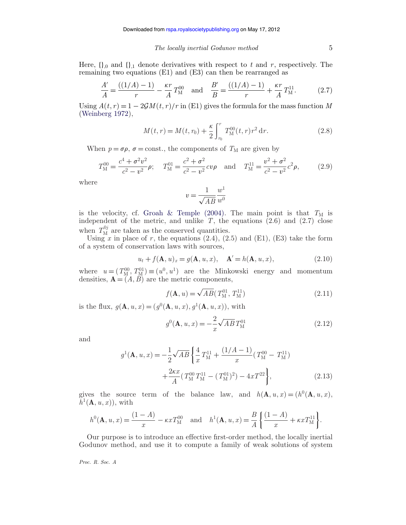Here,  $\{\}$ <sub>0</sub> and  $\{\}$ <sub>1</sub> denote derivatives with respect to t and r, respectively. The remaining two equations (E1) and (E3) can then be rearranged as

$$
\frac{A'}{A} = \frac{((1/A) - 1)}{r} - \frac{\kappa r}{A} T_M^{00} \quad \text{and} \quad \frac{B'}{B} = \frac{((1/A) - 1)}{r} + \frac{\kappa r}{A} T_M^{11}.
$$
 (2.7)

Using  $A(t, r) = 1 - 2\mathcal{G}M(t, r)/r$  in (E1) gives the formula for the mass function M (Weinberg 1972),

$$
M(t,r) = M(t,r_0) + \frac{\kappa}{2} \int_{r_0}^r T_M^{00}(t,r) r^2 dr.
$$
 (2.8)

When  $p = \sigma \rho$ ,  $\sigma = \text{const.}$ , the components of  $T_M$  are given by

$$
T_{\rm M}^{00} = \frac{c^4 + \sigma^2 v^2}{c^2 - v^2} \rho; \quad T_{\rm M}^{01} = \frac{c^2 + \sigma^2}{c^2 - v^2} c v \rho \quad \text{and} \quad T_{\rm M}^{11} = \frac{v^2 + \sigma^2}{c^2 - v^2} c^2 \rho,
$$
 (2.9)

where

$$
v = \frac{1}{\sqrt{AB}} \frac{w^1}{w^0}
$$

is the velocity, cf. Groah & Temple  $(2004)$ . The main point is that  $T_M$  is independent of the metric, and unlike  $T$ , the equations  $(2.6)$  and  $(2.7)$  close when  $T_{\text{M}}^{0j}$  are taken as the conserved quantities.

Using  $x$  in place of  $r$ , the equations  $(2.4)$ ,  $(2.5)$  and  $(E1)$ ,  $(E3)$  take the form of a system of conservation laws with sources,

$$
u_t + f(\mathbf{A}, u)_x = g(\mathbf{A}, u, x), \quad \mathbf{A}' = h(\mathbf{A}, u, x),
$$
 (2.10)

where  $u = (T_M^{00}, T_M^{01}) \equiv (u^0, u^1)$  are the Minkowski energy and momentum densities,  $\mathbf{A} = (A, B)$  are the metric components,

$$
f(\mathbf{A}, u) = \sqrt{AB} (T_{\rm M}^{01}, T_{\rm M}^{11})
$$
 (2.11)

is the flux,  $q(\mathbf{A}, u, x) = (q^0(\mathbf{A}, u, x), q^1(\mathbf{A}, u, x))$ , with

$$
g^{0}(\mathbf{A}, u, x) = -\frac{2}{x} \sqrt{AB} T_{\mathrm{M}}^{01}
$$
 (2.12)

and

$$
g^{1}(\mathbf{A}, u, x) = -\frac{1}{2}\sqrt{AB} \left\{ \frac{4}{x} T_{\mathrm{M}}^{11} + \frac{(1/A - 1)}{x} (T_{\mathrm{M}}^{00} - T_{\mathrm{M}}^{11}) + \frac{2\kappa x}{A} (T_{\mathrm{M}}^{00} T_{\mathrm{M}}^{11} - (T_{\mathrm{M}}^{01})^{2}) - 4x T^{22} \right\},
$$
\n(2.13)

gives the source term of the balance law, and  $h(\mathbf{A}, u, x) = (h^0(\mathbf{A}, u, x),$  $h^1(\mathbf{A}, u, x)$ , with

$$
h^{0}(\mathbf{A}, u, x) = \frac{(1 - A)}{x} - \kappa x T_{\mathrm{M}}^{00} \quad \text{and} \quad h^{1}(\mathbf{A}, u, x) = \frac{B}{A} \left\{ \frac{(1 - A)}{x} + \kappa x T_{\mathrm{M}}^{11} \right\}.
$$

Our purpose is to introduce an effective first-order method, the locally inertial Godunov method, and use it to compute a family of weak solutions of system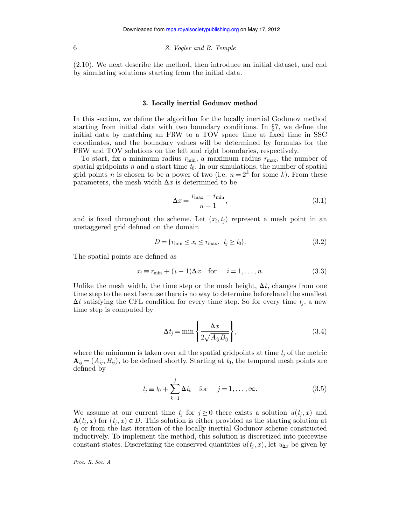(2.10). We next describe the method, then introduce an initial dataset, and end by simulating solutions starting from the initial data.

#### **3. Locally inertial Godunov method**

In this section, we define the algorithm for the locally inertial Godunov method starting from initial data with two boundary conditions. In §7, we define the initial data by matching an FRW to a TOV space–time at fixed time in SSC coordinates, and the boundary values will be determined by formulas for the FRW and TOV solutions on the left and right boundaries, respectively.

To start, fix a minimum radius  $r_{\min}$ , a maximum radius  $r_{\max}$ , the number of spatial gridpoints  $n$  and a start time  $t<sub>0</sub>$ . In our simulations, the number of spatial grid points *n* is chosen to be a power of two (i.e.  $n = 2^k$  for some *k*). From these parameters, the mesh width  $\Delta x$  is determined to be

$$
\Delta x = \frac{r_{\text{max}} - r_{\text{min}}}{n - 1},\tag{3.1}
$$

and is fixed throughout the scheme. Let  $(x_i, t_j)$  represent a mesh point in an unstaggered grid defined on the domain

$$
D = \{r_{\min} \le x_i \le r_{\max}, \ t_j \ge t_0\}.
$$
\n(3.2)

The spatial points are defined as

$$
x_i \equiv r_{\min} + (i - 1)\Delta x \quad \text{for} \quad i = 1, \dots, n. \tag{3.3}
$$

Unlike the mesh width, the time step or the mesh height,  $\Delta t$ , changes from one time step to the next because there is no way to determine beforehand the smallest  $\Delta t$  satisfying the CFL condition for every time step. So for every time  $t_j$ , a new time step is computed by

$$
\Delta t_j = \min \left\{ \frac{\Delta x}{2\sqrt{A_{ij}B_{ij}}} \right\},\tag{3.4}
$$

where the minimum is taken over all the spatial gridpoints at time  $t_i$  of the metric  $\mathbf{A}_{ij} = (A_{ij}, B_{ij})$ , to be defined shortly. Starting at  $t_0$ , the temporal mesh points are defined by

$$
t_j \equiv t_0 + \sum_{k=1}^j \Delta t_k \quad \text{for} \quad j = 1, \dots, \infty.
$$
 (3.5)

We assume at our current time  $t_j$  for  $j \geq 0$  there exists a solution  $u(t_j, x)$  and  $\mathbf{A}(t_i, x)$  for  $(t_i, x) \in D$ . This solution is either provided as the starting solution at *t*<sup>0</sup> or from the last iteration of the locally inertial Godunov scheme constructed inductively. To implement the method, this solution is discretized into piecewise constant states. Discretizing the conserved quantities  $u(t_j, x)$ , let  $u_{\Delta x}$  be given by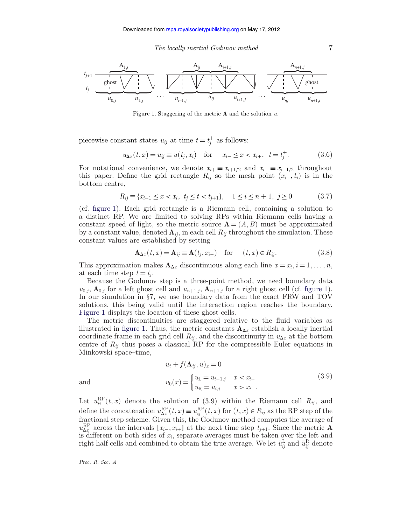

Figure 1. Staggering of the metric **A** and the solution *u*.

piecewise constant states  $u_{ij}$  at time  $t = t_j^+$  as follows:

$$
u_{\Delta x}(t, x) = u_{ij} \equiv u(t_j, x_i) \quad \text{for} \quad x_{i-} \le x < x_{i+}, \quad t = t_j^+.
$$
\n(3.6)

For notational convenience, we denote  $x_{i+} \equiv x_{i+1/2}$  and  $x_{i-} \equiv x_{i-1/2}$  throughout this paper. Define the grid rectangle  $R_{ij}$  so the mesh point  $(x_i, t_j)$  is in the bottom centre,

$$
R_{ij} \equiv \{x_{i-1} \le x < x_i, \ t_j \le t < t_{j+1}\}, \quad 1 \le i \le n+1, \ j \ge 0 \tag{3.7}
$$

(cf. figure 1). Each grid rectangle is a Riemann cell, containing a solution to a distinct RP. We are limited to solving RPs within Riemann cells having a constant speed of light, so the metric source  $\mathbf{A} = (A, B)$  must be approximated by a constant value, denoted  $\mathbf{A}_{ij}$ , in each cell  $R_{ij}$  throughout the simulation. These constant values are established by setting

$$
\mathbf{A}_{\Delta x}(t,x) = \mathbf{A}_{ij} \equiv \mathbf{A}(t_j, x_{i-}) \quad \text{for} \quad (t,x) \in R_{ij}.\tag{3.8}
$$

This approximation makes  $\mathbf{A}_{\Delta x}$  discontinuous along each line  $x = x_i, i = 1, \ldots, n$ , at each time step  $t = t_i$ .

Because the Godunov step is a three-point method, we need boundary data  $u_{0,i}$ ,  $\mathbf{A}_{0,i}$  for a left ghost cell and  $u_{n+1,i}$ ,  $\mathbf{A}_{n+1,i}$  for a right ghost cell (cf. figure 1). In our simulation in §7, we use boundary data from the exact FRW and TOV solutions, this being valid until the interaction region reaches the boundary. Figure 1 displays the location of these ghost cells.

The metric discontinuities are staggered relative to the fluid variables as illustrated in figure 1. Thus, the metric constants  $\mathbf{A}_{\Delta x}$  establish a locally inertial coordinate frame in each grid cell  $R_{ij}$ , and the discontinuity in  $u_{\Delta x}$  at the bottom centre of  $R_{ij}$  thus poses a classical RP for the compressible Euler equations in Minkowski space–time,

and  
\n
$$
u_{t} + f(\mathbf{A}_{ij}, u)_{x} = 0
$$
\n
$$
u_{0}(x) = \begin{cases} u_{L} = u_{i-1,j} & x < x_{i-} \\ u_{R} = u_{i,j} & x > x_{i-} . \end{cases}
$$
\n(3.9)

Let  $u_{ij}^{\text{RP}}(t, x)$  denote the solution of (3.9) within the Riemann cell  $R_{ij}$ , and define the concatenation  $u_{\Delta x}^{RP}(t, x) \equiv u_{ij}^{RP}(t, x)$  for  $(t, x) \in R_{ij}$  as the RP step of the fractional step scheme. Given this, the Godunov method computes the average of  $u_{\Delta x}^{\text{RP}}$  across the intervals  $[x_{i-}, x_{i+}]$  at the next time step  $t_{j+1}$ . Since the metric **A** is different on both sides of *xi*, separate averages must be taken over the left and right half cells and combined to obtain the true average. We let  $\bar{u}_{ij}^{\text{L}}$  and  $\bar{u}_{ij}^{\text{R}}$  denote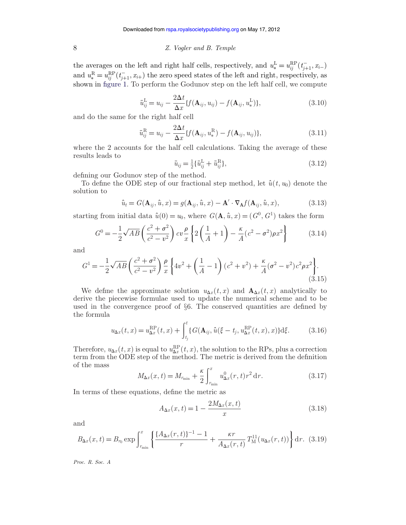the averages on the left and right half cells, respectively, and  $u_*^{\text{L}} = u_{ij}^{\text{RP}}(t_{j+1}^-, x_{i-})$ and  $u_*^{\text{R}} = u_{ij}^{\text{RP}}(t_{j+1}^-, x_{i+})$  the zero speed states of the left and right, respectively, as shown in figure 1. To perform the Godunov step on the left half cell, we compute

$$
\bar{u}_{ij}^{\mathcal{L}} = u_{ij} - \frac{2\Delta t}{\Delta x} \{ f(\mathbf{A}_{ij}, u_{ij}) - f(\mathbf{A}_{ij}, u_{*}^{\mathcal{L}}) \},\tag{3.10}
$$

and do the same for the right half cell

$$
\bar{u}_{ij}^{\text{R}} = u_{ij} - \frac{2\Delta t}{\Delta x} \{ f(\mathbf{A}_{ij}, u_{*}^{\text{R}}) - f(\mathbf{A}_{ij}, u_{ij}) \},\tag{3.11}
$$

where the 2 accounts for the half cell calculations. Taking the average of these results leads to

$$
\bar{u}_{ij} = \frac{1}{2} \{ \bar{u}_{ij}^{\text{L}} + \bar{u}_{ij}^{\text{R}} \},\tag{3.12}
$$

defining our Godunov step of the method.

To define the ODE step of our fractional step method, let  $\hat{u}(t, u_0)$  denote the solution to

$$
\hat{u}_t = G(\mathbf{A}_{ij}, \hat{u}, x) = g(\mathbf{A}_{ij}, \hat{u}, x) - \mathbf{A}' \cdot \nabla_{\mathbf{A}} f(\mathbf{A}_{ij}, \hat{u}, x),
$$
(3.13)

starting from initial data  $\hat{u}(0) = u_0$ , where  $G(\mathbf{A}, \hat{u}, x) = (G^0, G^1)$  takes the form

$$
G^{0} = -\frac{1}{2}\sqrt{AB} \left(\frac{c^{2} + \sigma^{2}}{c^{2} - v^{2}}\right) cv \frac{\rho}{x} \left\{2\left(\frac{1}{A} + 1\right) - \frac{\kappa}{A}(c^{2} - \sigma^{2})\rho x^{2}\right\}
$$
(3.14)

and

$$
G^{1} = -\frac{1}{2}\sqrt{AB} \left(\frac{c^{2} + \sigma^{2}}{c^{2} - v^{2}}\right) \frac{\rho}{x} \left\{ 4v^{2} + \left(\frac{1}{A} - 1\right)(c^{2} + v^{2}) + \frac{\kappa}{A}(\sigma^{2} - v^{2})c^{2}\rho x^{2} \right\}.
$$
\n(3.15)

We define the approximate solution  $u_{\Delta x}(t, x)$  and  $\mathbf{A}_{\Delta x}(t, x)$  analytically to derive the piecewise formulae used to update the numerical scheme and to be used in the convergence proof of §6. The conserved quantities are defined by the formula

$$
u_{\Delta x}(t,x) = u_{\Delta x}^{\rm RP}(t,x) + \int_{t_j}^t \{ G(\mathbf{A}_{ij}, \hat{u}(\xi - t_j, u_{\Delta x}^{\rm RP}(t,x), x) \} d\xi.
$$
 (3.16)

Therefore,  $u_{\Delta x}(t, x)$  is equal to  $u_{\Delta x}^{RP}(t, x)$ , the solution to the RPs, plus a correction term from the ODE step of the method. The metric is derived from the definition of the mass

$$
M_{\Delta x}(x,t) = M_{r_{\min}} + \frac{\kappa}{2} \int_{r_{\min}}^{x} u_{\Delta x}^{0}(r,t) r^{2} dr.
$$
 (3.17)

In terms of these equations, define the metric as

$$
A_{\Delta x}(x,t) = 1 - \frac{2M_{\Delta x}(x,t)}{x}
$$
\n(3.18)

and

$$
B_{\Delta x}(x,t) = B_{r_0} \exp \int_{r_{\min}}^x \left\{ \frac{\{A_{\Delta x}(r,t)\}^{-1} - 1}{r} + \frac{\kappa r}{A_{\Delta x}(r,t)} T_{\mathcal{M}}^{11}(u_{\Delta x}(r,t)) \right\} dr. (3.19)
$$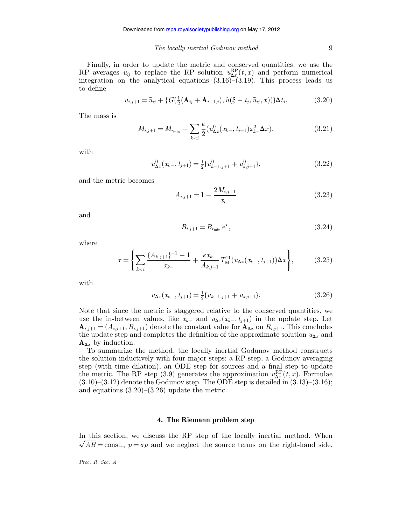Finally, in order to update the metric and conserved quantities, we use the RP averages  $\bar{u}_{ij}$  to replace the RP solution  $u_{\Delta x}^{\rm RP}(t, x)$  and perform numerical integration on the analytical equations  $(3.16)$ – $(3.19)$ . This process leads us to define

$$
u_{i,j+1} = \bar{u}_{ij} + \{ G(\frac{1}{2}(\mathbf{A}_{ij} + \mathbf{A}_{i+1,j}), \hat{u}(\xi - t_j, \bar{u}_{ij}, x)) \} \Delta t_j.
$$
 (3.20)

The mass is

$$
M_{i,j+1} = M_{r_{\min}} + \sum_{k < i} \frac{\kappa}{2} \left( u_{\Delta x}^0(x_{k-}, t_{j+1}) x_{k-}^2 \Delta x \right),\tag{3.21}
$$

with

$$
u_{\Delta x}^{0}(x_{k-}, t_{j+1}) = \frac{1}{2} \{ u_{k-1,j+1}^{0} + u_{k,j+1}^{0} \},
$$
\n(3.22)

and the metric becomes

$$
A_{i,j+1} = 1 - \frac{2M_{i,j+1}}{x_{i-}} \tag{3.23}
$$

and

$$
B_{i,j+1} = B_{r_{\min}} e^{\tau}, \tag{3.24}
$$

where

$$
\tau = \left\{ \sum_{k < i} \frac{\{A_{k,j+1}\}^{-1} - 1}{x_{k-}} + \frac{\kappa x_{k-}}{A_{k,j+1}} T_{\mathcal{M}}^{11}(u_{\Delta x}(x_{k-}, t_{j+1})) \Delta x \right\},\tag{3.25}
$$

with

$$
u_{\Delta x}(x_{k-}, t_{j+1}) = \frac{1}{2} \{u_{k-1,j+1} + u_{k,j+1}\}.
$$
\n(3.26)

Note that since the metric is staggered relative to the conserved quantities, we use the in-between values, like  $x_{k-}$  and  $u_{\Delta x}(x_{k-}, t_{j+1})$  in the update step. Let  $\mathbf{A}_{i,j+1} = (A_{i,j+1}, B_{i,j+1})$  denote the constant value for  $\mathbf{A}_{\Delta x}$  on  $R_{i,j+1}$ . This concludes the update step and completes the definition of the approximate solution  $u_{\Delta x}$  and  $\mathbf{A}_{\Delta x}$  by induction.

To summarize the method, the locally inertial Godunov method constructs the solution inductively with four major steps: a RP step, a Godunov averaging step (with time dilation), an ODE step for sources and a final step to update the metric. The RP step (3.9) generates the approximation  $u_{\Delta x}^{\text{RP}}(t, x)$ . Formulae  $(3.10)$ – $(3.12)$  denote the Godunov step. The ODE step is detailed in  $(3.13)$ – $(3.16)$ ; and equations  $(3.20)$ – $(3.26)$  update the metric.

#### **4. The Riemann problem step**

In this section, we discuss the RP step of the locally inertial method. When  $\sqrt{AB}$  = const.,  $p = \sigma \rho$  and we neglect the source terms on the right-hand side,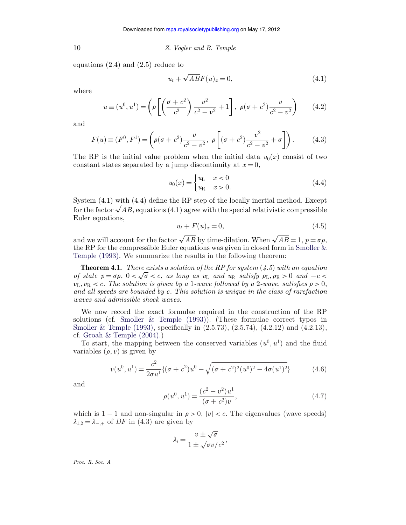10 *Z. Vogler and B. Temple*

equations  $(2.4)$  and  $(2.5)$  reduce to

$$
u_t + \sqrt{AB}F(u)_x = 0,\t\t(4.1)
$$

where

$$
u \equiv (u^0, u^1) = \left(\rho \left[ \left( \frac{\sigma + c^2}{c^2} \right) \frac{v^2}{c^2 - v^2} + 1 \right], \ \rho(\sigma + c^2) \frac{v}{c^2 - v^2}\right) \tag{4.2}
$$

and

$$
F(u) \equiv (F^0, F^1) = \left(\rho(\sigma + c^2)\frac{v}{c^2 - v^2}, \ \rho\left[(\sigma + c^2)\frac{v^2}{c^2 - v^2} + \sigma\right]\right). \tag{4.3}
$$

The RP is the initial value problem when the initial data  $u_0(x)$  consist of two constant states separated by a jump discontinuity at  $x = 0$ ,

$$
u_0(x) = \begin{cases} u_L & x < 0 \\ u_R & x > 0. \end{cases}
$$
 (4.4)

System (4.1) with (4.4) define the RP step of the locally inertial method. Except for the factor  $\sqrt{AB}$ , equations (4.1) agree with the special relativistic compressible Euler equations,

$$
u_t + F(u)_x = 0,\t\t(4.5)
$$

and we will account for the factor  $\sqrt{AB}$  by time-dilation. When  $\sqrt{AB} = 1$ ,  $p = \sigma \rho$ , the RP for the compressible Euler equations was given in closed form in Smoller & Temple (1993). We summarize the results in the following theorem:

**Theorem 4.1.** *There exists a solution of the RP for system* (*4.5*) *with an equation of state p* =  $\sigma \rho$ , 0 <  $\sqrt{\sigma}$  < *c*, *as long as u*<sub>L</sub> *and u*<sub>R</sub> *satisfy*  $\rho$ <sub>L</sub>,  $\rho$ <sub>R</sub> > 0 *and* − *c* <  $v_{\rm L}, v_{\rm R} < c$ . The solution is given by a 1-wave followed by a 2-wave, satisfies  $\rho > 0$ , *and all speeds are bounded by c. This solution is unique in the class of rarefaction waves and admissible shock waves.*

We now record the exact formulae required in the construction of the RP solutions (cf. Smoller & Temple (1993)). (These formulae correct typos in Smoller & Temple (1993), specifically in (2.5.73), (2.5.74), (4.2.12) and (4.2.13), cf. Groah  $&$  Temple  $(2004).$ 

To start, the mapping between the conserved variables  $(u^0, u^1)$  and the fluid variables  $(\rho, v)$  is given by

$$
v(u^0, u^1) = \frac{c^2}{2\sigma u^1} \{ (\sigma + c^2) u^0 - \sqrt{(\sigma + c^2)^2 (u^0)^2 - 4\sigma (u^1)^2} \}
$$
(4.6)

and

$$
\rho(u^0, u^1) = \frac{(c^2 - v^2)u^1}{(\sigma + c^2)v},
$$
\n(4.7)

which is  $1 - 1$  and non-singular in  $\rho > 0$ ,  $|v| < c$ . The eigenvalues (wave speeds)  $\lambda_{1,2} = \lambda_{-,+}$  of DF in (4.3) are given by

$$
\lambda_i = \frac{v \pm \sqrt{\sigma}}{1 \pm \sqrt{\sigma} v/c^2},
$$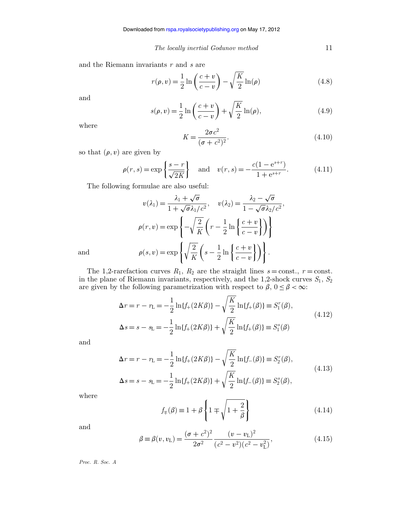and the Riemann invariants *r* and *s* are

$$
r(\rho, v) = \frac{1}{2} \ln \left( \frac{c+v}{c-v} \right) - \sqrt{\frac{K}{2}} \ln(\rho)
$$
\n(4.8)

and

$$
s(\rho, v) = \frac{1}{2} \ln \left( \frac{c+v}{c-v} \right) + \sqrt{\frac{K}{2}} \ln(\rho), \tag{4.9}
$$

where

$$
K = \frac{2\sigma c^2}{(\sigma + c^2)^2}.
$$
\n(4.10)

so that  $(\rho, v)$  are given by

$$
\rho(r,s) = \exp\left\{\frac{s-r}{\sqrt{2K}}\right\} \quad \text{and} \quad v(r,s) = -\frac{c(1 - e^{s+r})}{1 + e^{s+r}}.\tag{4.11}
$$

The following formulae are also useful:

$$
v(\lambda_1) = \frac{\lambda_1 + \sqrt{\sigma}}{1 + \sqrt{\sigma}\lambda_1/c^2}, \quad v(\lambda_2) = \frac{\lambda_2 - \sqrt{\sigma}}{1 - \sqrt{\sigma}\lambda_2/c^2},
$$

$$
\rho(r, v) = \exp\left\{-\sqrt{\frac{2}{K}} \left(r - \frac{1}{2} \ln\left\{\frac{c + v}{c - v}\right\}\right)\right\}
$$
and
$$
\rho(s, v) = \exp\left\{\sqrt{\frac{2}{K}} \left(s - \frac{1}{2} \ln\left\{\frac{c + v}{c - v}\right\}\right)\right\}.
$$

The 1,2-rarefaction curves  $R_1$ ,  $R_2$  are the straight lines  $s = \text{const.}$ ,  $r = \text{const.}$ in the plane of Riemann invariants, respectively, and the 1,2-shock curves  $S_1$ ,  $S_2$ are given by the following parametrization with respect to  $\beta$ ,  $0 \leq \beta < \infty$ :

$$
\Delta r = r - r_{\rm L} = -\frac{1}{2} \ln\{f_+(2K\beta)\} - \sqrt{\frac{K}{2}} \ln\{f_+(\beta)\} \equiv S_1^r(\beta),
$$
  
\n
$$
\Delta s = s - s_{\rm L} = -\frac{1}{2} \ln\{f_+(2K\beta)\} + \sqrt{\frac{K}{2}} \ln\{f_+(\beta)\} \equiv S_1^s(\beta)
$$
\n(4.12)

and

$$
\Delta r = r - r_{\rm L} = -\frac{1}{2}\ln\{f_{+}(2K\beta)\} - \sqrt{\frac{K}{2}}\ln\{f_{-}(\beta)\} \equiv S_{2}^{r}(\beta),
$$
\n
$$
\Delta s = s - s_{\rm L} = -\frac{1}{2}\ln\{f_{+}(2K\beta)\} + \sqrt{\frac{K}{2}}\ln\{f_{-}(\beta)\} \equiv S_{2}^{s}(\beta),
$$
\n(4.13)

where

$$
f_{\mp}(\beta) \equiv 1 + \beta \left\{ 1 \mp \sqrt{1 + \frac{2}{\beta}} \right\} \tag{4.14}
$$

and

$$
\beta \equiv \beta(v, v_{\rm L}) = \frac{(\sigma + c^2)^2}{2\sigma^2} \frac{(v - v_{\rm L})^2}{(c^2 - v^2)(c^2 - v_{\rm L}^2)},\tag{4.15}
$$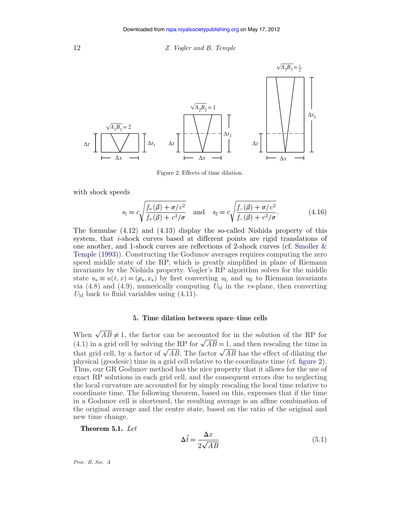

Figure 2. Effects of time dilation.

with shock speeds

$$
s_1 = c \sqrt{\frac{f_+(\beta) + \sigma/c^2}{f_+(\beta) + c^2/\sigma}} \quad \text{and} \quad s_2 = c \sqrt{\frac{f_-(\beta) + \sigma/c^2}{f_-(\beta) + c^2/\sigma}}.
$$
 (4.16)

The formulae (4.12) and (4.13) display the so-called Nishida property of this system, that *i*-shock curves based at different points are rigid translations of one another, and 1-shock curves are reflections of 2-shock curves (cf. Smoller & Temple (1993)). Constructing the Godunov averages requires computing the zero speed middle state of the RP, which is greatly simplified in plane of Riemann invariants by the Nishida property. Vogler's RP algorithm solves for the middle state  $u_* \equiv u(t,x) = (\rho_*, v_*)$  by first converting  $u_L$  and  $u_R$  to Riemann invariants via  $(4.8)$  and  $(4.9)$ , numerically computing  $U_M$  in the *rs*-plane, then converting  $U_M$  back to fluid variables using  $(4.11)$ .

#### **5. Time dilation between space–time cells**

When  $\sqrt{AB} \neq 1$ , the factor can be accounted for in the solution of the RP for (4.1) in a grid cell by solving the RP for  $\sqrt{AB} = 1$ , and then rescaling the time in that grid cell, by a factor of  $\sqrt{AB}$ . The factor  $\sqrt{AB}$  has the effect of dilating the physical (geodesic) time in a grid cell relative to the coordinate time (cf. figure 2). Thus, our GR Godunov method has the nice property that it allows for the use of exact RP solutions in each grid cell, and the consequent errors due to neglecting the local curvature are accounted for by simply rescaling the local time relative to coordinate time. The following theorem, based on this, expresses that if the time in a Godunov cell is shortened, the resulting average is an affine combination of the original average and the centre state, based on the ratio of the original and new time change.

**Theorem 5.1.** *Let*

$$
\Delta \tilde{t} = \frac{\Delta x}{2\sqrt{AB}}\tag{5.1}
$$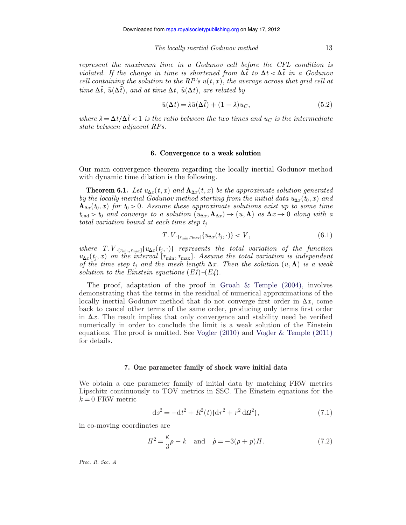*represent the maximum time in a Godunov cell before the CFL condition is violated. If the change in time is shortened from*  $\Delta \tilde{t}$  to  $\Delta t < \Delta \tilde{t}$  in a Godunov *cell containing the solution to the RP's*  $u(t, x)$ , the average across that grid cell at *time*  $\Delta \tilde{t}$ ,  $\bar{u}(\Delta \tilde{t})$ , and at time  $\Delta t$ ,  $\bar{u}(\Delta t)$ , are related by

$$
\bar{u}(\Delta t) = \lambda \bar{u}(\Delta t) + (1 - \lambda)u_C,
$$
\n(5.2)

*where*  $\lambda = \Delta t / \Delta \tilde{t} < 1$  *is the ratio between the two times and*  $u_C$  *is the intermediate state between adjacent RPs.*

#### **6. Convergence to a weak solution**

Our main convergence theorem regarding the locally inertial Godunov method with dynamic time dilation is the following.

**Theorem 6.1.** Let  $u_{\Delta x}(t, x)$  and  $\mathbf{A}_{\Delta x}(t, x)$  be the approximate solution generated *by the locally inertial Godunov method starting from the initial data*  $u_{\Delta x}(t_0, x)$  and  $\mathbf{A}_{\Delta x}(t_0, x)$  *for*  $t_0 > 0$ *. Assume these approximate solutions exist up to some time*  $t_{end} > t_0$  *and converge to a solution*  $(u_{\Delta x}, \mathbf{A}_{\Delta x}) \rightarrow (u, \mathbf{A})$  *as*  $\Delta x \rightarrow 0$  *along with a total variation bound at each time step tj*

$$
T.V._{\{r_{\min}, r_{\max}\}} \{u_{\Delta x}(t_j, \cdot)\} < V,\tag{6.1}
$$

*where*  $T$ *.*  $V$ <sub>[*r*min,*r*<sub>max</sub>]{ $u_{\Delta x}(t_j, \cdot)$ } *represents the total variation of the function*</sub>  $u_{\Delta x}(t_j, x)$  *on the interval* [ $r_{\min}$ ,  $r_{\max}$ ]*. Assume the total variation is independent of the time step t<sub>i</sub> and the mesh length*  $\Delta x$ . Then the solution  $(u, \mathbf{A})$  is a weak *solution to the Einstein equations*  $(E1)$ – $(E4)$ *.* 

The proof, adaptation of the proof in Groah & Temple (2004), involves demonstrating that the terms in the residual of numerical approximations of the locally inertial Godunov method that do not converge first order in  $\Delta x$ , come back to cancel other terms of the same order, producing only terms first order in  $\Delta x$ . The result implies that only convergence and stability need be verified numerically in order to conclude the limit is a weak solution of the Einstein equations. The proof is omitted. See Vogler (2010) and Vogler & Temple (2011) for details.

#### **7. One parameter family of shock wave initial data**

We obtain a one parameter family of initial data by matching FRW metrics Lipschitz continuously to TOV metrics in SSC. The Einstein equations for the  $k = 0$  FRW metric

$$
ds^{2} = -dt^{2} + R^{2}(t)\{dr^{2} + r^{2}dQ^{2}\},
$$
\n(7.1)

in co-moving coordinates are

$$
H^{2} = \frac{\kappa}{3}\rho - k \text{ and } \dot{\rho} = -3(\rho + p)H.
$$
 (7.2)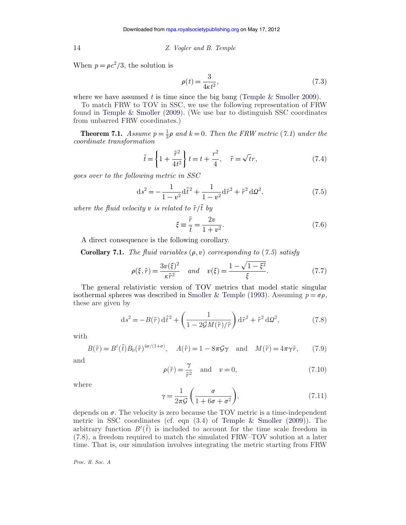When  $p = \rho c^2/3$ , the solution is

$$
\rho(t) = \frac{3}{4\kappa t^2},\tag{7.3}
$$

where we have assumed *t* is time since the big bang (Temple & Smoller 2009).

To match FRW to TOV in SSC, we use the following representation of FRW found in Temple & Smoller (2009). (We use bar to distinguish SSC coordinates from unbarred FRW coordinates.)

**Theorem 7.1.** *Assume*  $p = \frac{1}{3}p$  *and*  $k = 0$ *. Then the FRW metric* (*7.1*) *under the coordinate transformation*

$$
\bar{t} = \left\{ 1 + \frac{\bar{r}^2}{4t^2} \right\} t = t + \frac{r^2}{4}, \quad \bar{r} = \sqrt{t}r, \tag{7.4}
$$

*goes over to the following metric in SSC*

$$
ds^{2} = -\frac{1}{1 - v^{2}} d\bar{t}^{2} + \frac{1}{1 - v^{2}} d\bar{r}^{2} + \bar{r}^{2} d\Omega^{2},
$$
\n(7.5)

*where the fluid velocity* v *is related to*  $\bar{r}/\bar{t}$  *by* 

$$
\xi \equiv \frac{\bar{r}}{\bar{t}} = \frac{2v}{1+v^2}.\tag{7.6}
$$

A direct consequence is the following corollary.

**Corollary 7.1.** *The fluid variables*  $(\rho, v)$  *corresponding to* (7.5) *satisfy* 

$$
\rho(\xi, \bar{r}) = \frac{3v(\xi)^2}{\kappa \bar{r}^2} \quad and \quad v(\xi) = \frac{1 - \sqrt{1 - \xi^2}}{\xi}.
$$
\n(7.7)

The general relativistic version of TOV metrics that model static singular isothermal spheres was described in Smoller & Temple (1993). Assuming  $p = \sigma \rho$ , these are given by

$$
ds^{2} = -B(\bar{r}) d\bar{t}^{2} + \left(\frac{1}{1 - 2\mathcal{G}M(\bar{r})/\bar{r}}\right) d\bar{r}^{2} + \bar{r}^{2} d\mathcal{Q}^{2},
$$
\n(7.8)

with

$$
B(\bar{r}) = B^{t}(\bar{t})B_{0}(\bar{r})^{4\sigma/(1+\sigma)}, \quad A(\bar{r}) = 1 - 8\pi\mathcal{G}\gamma \quad \text{and} \quad M(\bar{r}) = 4\pi\gamma\bar{r}, \tag{7.9}
$$

and

$$
\rho(\bar{r}) = \frac{\gamma}{\bar{r}^2} \quad \text{and} \quad v = 0,
$$
\n(7.10)

where

$$
\gamma = \frac{1}{2\pi\mathcal{G}} \left( \frac{\sigma}{1 + 6\sigma + \sigma^2} \right),\tag{7.11}
$$

depends on  $\sigma$ . The velocity is zero because the TOV metric is a time-independent metric in SSC coordinates (cf. eqn  $(3.4)$  of Temple & Smoller  $(2009)$ ). The arbitrary function  $B^t(\bar{t})$  is included to account for the time scale freedom in (7.8), a freedom required to match the simulated FRW–TOV solution at a later time. That is, our simulation involves integrating the metric starting from FRW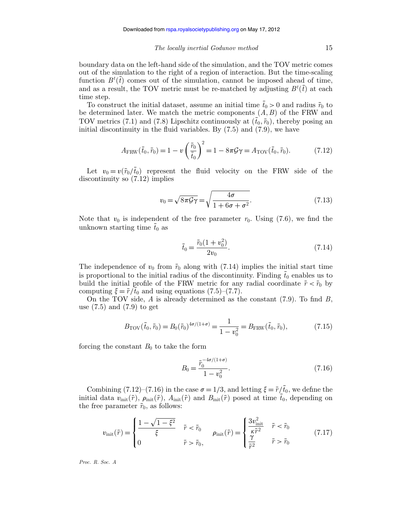boundary data on the left-hand side of the simulation, and the TOV metric comes out of the simulation to the right of a region of interaction. But the time-scaling function  $B^t(\bar{t})$  comes out of the simulation, cannot be imposed ahead of time, and as a result, the TOV metric must be re-matched by adjusting  $B^t(\bar{t})$  at each time step.

To construct the initial dataset, assume an initial time  $\bar{t}_0 > 0$  and radius  $\bar{r}_0$  to be determined later. We match the metric components  $(A, B)$  of the FRW and TOV metrics (7.1) and (7.8) Lipschitz continuously at  $(\bar{t}_0, \bar{r}_0)$ , thereby posing an initial discontinuity in the fluid variables. By (7.5) and (7.9), we have

$$
A_{\text{FRW}}(\bar{t}_0, \bar{r}_0) = 1 - v \left(\frac{\bar{r}_0}{\bar{t}_0}\right)^2 = 1 - 8\pi \mathcal{G}\gamma = A_{\text{TOV}}(\bar{t}_0, \bar{r}_0). \tag{7.12}
$$

Let  $v_0 = v(\bar{r}_0/\bar{t}_0)$  represent the fluid velocity on the FRW side of the discontinuity so (7.12) implies

$$
v_0 = \sqrt{8\pi\mathcal{G}\gamma} = \sqrt{\frac{4\sigma}{1 + 6\sigma + \sigma^2}}.\tag{7.13}
$$

Note that  $v_0$  is independent of the free parameter  $r_0$ . Using (7.6), we find the unknown starting time  $\bar{t}_0$  as

$$
\bar{t}_0 = \frac{\bar{r}_0 (1 + v_0^2)}{2v_0}.
$$
\n(7.14)

The independence of  $v_0$  from  $\bar{r}_0$  along with (7.14) implies the initial start time is proportional to the initial radius of the discontinuity. Finding  $t_0$  enables us to build the initial profile of the FRW metric for any radial coordinate  $\bar{r} < \bar{r}_0$  by computing  $\xi = \bar{r}/\bar{t}_0$  and using equations (7.5)–(7.7).

On the TOV side, *A* is already determined as the constant (7.9). To find *B*, use (7.5) and (7.9) to get

$$
B_{\text{TOV}}(\bar{t}_0, \bar{r}_0) = B_0(\bar{r}_0)^{4\sigma/(1+\sigma)} = \frac{1}{1 - v_0^2} = B_{\text{FRW}}(\bar{t}_0, \bar{r}_0),\tag{7.15}
$$

forcing the constant  $B_0$  to take the form

$$
B_0 = \frac{\bar{r}_0^{-4\sigma/(1+\sigma)}}{1 - v_0^2}.
$$
\n(7.16)

Combining (7.12)–(7.16) in the case  $\sigma = 1/3$ , and letting  $\xi = \bar{r}/\bar{t}_0$ , we define the initial data  $v_{\text{init}}(\bar{r})$ ,  $\rho_{\text{init}}(\bar{r})$ ,  $A_{\text{init}}(\bar{r})$  and  $B_{\text{init}}(\bar{r})$  posed at time  $\bar{t}_0$ , depending on the free parameter  $\bar{r}_0$ , as follows:

$$
v_{\text{init}}(\bar{r}) = \begin{cases} \frac{1 - \sqrt{1 - \xi^2}}{\xi} & \bar{r} < \bar{r}_0 \\ 0 & \bar{r} > \bar{r}_0, \end{cases} \qquad \rho_{\text{init}}(\bar{r}) = \begin{cases} \frac{3v_{\text{init}}^2}{\kappa \bar{r}^2} & \bar{r} < \bar{r}_0 \\ \frac{\gamma}{\bar{r}^2} & \bar{r} > \bar{r}_0 \end{cases} \tag{7.17}
$$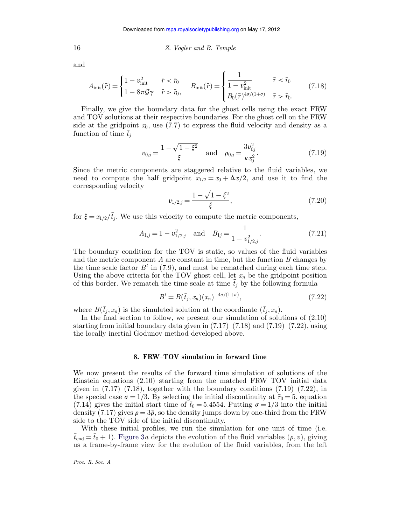and

$$
A_{\rm init}(\bar{r}) = \begin{cases} 1 - v_{\rm init}^2 & \bar{r} < \bar{r}_0 \\ 1 - 8\pi\mathcal{G}\gamma & \bar{r} > \bar{r}_0, \end{cases} \quad B_{\rm init}(\bar{r}) = \begin{cases} \frac{1}{1 - v_{\rm init}^2} & \bar{r} < \bar{r}_0 \\ B_0(\bar{r})^{4\sigma/(1+\sigma)} & \bar{r} > \bar{r}_0. \end{cases} \tag{7.18}
$$

Finally, we give the boundary data for the ghost cells using the exact FRW and TOV solutions at their respective boundaries. For the ghost cell on the FRW side at the gridpoint  $x_0$ , use  $(7.7)$  to express the fluid velocity and density as a function of time  $t_i$ 

$$
v_{0,j} = \frac{1 - \sqrt{1 - \xi^2}}{\xi} \quad \text{and} \quad \rho_{0,j} = \frac{3v_{0j}^2}{\kappa x_0^2}.
$$
 (7.19)

Since the metric components are staggered relative to the fluid variables, we need to compute the half gridpoint  $x_{1/2} = x_0 + \Delta x/2$ , and use it to find the corresponding velocity

$$
v_{1/2,j} = \frac{1 - \sqrt{1 - \xi^2}}{\xi},\tag{7.20}
$$

for  $\xi = x_{1/2}/\bar{t}_j$ . We use this velocity to compute the metric components,

$$
A_{1,j} = 1 - v_{1/2,j}^2 \quad \text{and} \quad B_{1j} = \frac{1}{1 - v_{1/2,j}^2}.\tag{7.21}
$$

The boundary condition for the TOV is static, so values of the fluid variables and the metric component *A* are constant in time, but the function *B* changes by the time scale factor  $B^t$  in (7.9), and must be rematched during each time step. Using the above criteria for the TOV ghost cell, let  $x_n$  be the gridpoint position of this border. We rematch the time scale at time  $\bar{t}_j$  by the following formula

$$
Bt = B(\bar{t}_j, x_n)(x_n)^{-4\sigma/(1+\sigma)},
$$
\n(7.22)

where  $B(\bar{t}_j, x_n)$  is the simulated solution at the coordinate  $(\bar{t}_j, x_n)$ .

In the final section to follow, we present our simulation of solutions of (2.10) starting from initial boundary data given in  $(7.17)$ – $(7.18)$  and  $(7.19)$ – $(7.22)$ , using the locally inertial Godunov method developed above.

## **8. FRW–TOV simulation in forward time**

We now present the results of the forward time simulation of solutions of the Einstein equations (2.10) starting from the matched FRW–TOV initial data given in  $(7.17)$ – $(7.18)$ , together with the boundary conditions  $(7.19)$ – $(7.22)$ , in the special case  $\sigma = 1/3$ . By selecting the initial discontinuity at  $\bar{r}_0 = 5$ , equation (7.14) gives the initial start time of  $\bar{t}_0 = 5.4554$ . Putting  $\sigma = 1/3$  into the initial density (7.17) gives  $\rho = 3\bar{\rho}$ , so the density jumps down by one-third from the FRW side to the TOV side of the initial discontinuity.

With these initial profiles, we run the simulation for one unit of time (i.e.  $\bar{t}_{\text{end}} = \bar{t}_0 + 1$ . Figure 3*a* depicts the evolution of the fluid variables  $(\rho, v)$ , giving us a frame-by-frame view for the evolution of the fluid variables, from the left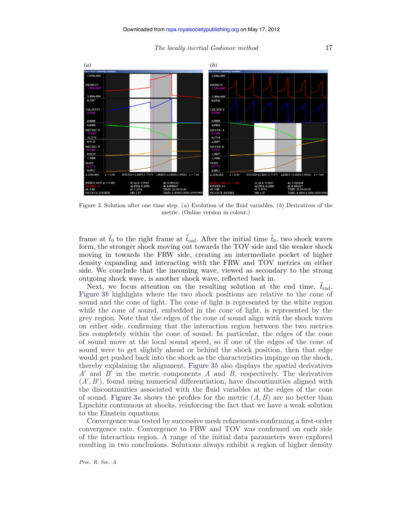

Figure 3. Solution after one time step. (*a*) Evolution of the fluid variables. (*b*) Derivatives of the metric. (Online version in colour.)

frame at  $\bar{t}_0$  to the right frame at  $\bar{t}_{end}$ . After the initial time  $\bar{t}_0$ , two shock waves form, the stronger shock moving out towards the TOV side and the weaker shock moving in towards the FRW side, creating an intermediate pocket of higher density expanding and interacting with the FRW and TOV metrics on either side. We conclude that the incoming wave, viewed as secondary to the strong outgoing shock wave, is another shock wave, reflected back in.

Next, we focus attention on the resulting solution at the end time,  $t_{end}$ . Figure 3*b* highlights where the two shock positions are relative to the cone of sound and the cone of light. The cone of light is represented by the white region while the cone of sound, embedded in the cone of light, is represented by the grey region. Note that the edges of the cone of sound align with the shock waves on either side, confirming that the interaction region between the two metrics lies completely within the cone of sound. In particular, the edges of the cone of sound move at the local sound speed, so if one of the edges of the cone of sound were to get slightly ahead or behind the shock position, then that edge would get pushed back into the shock as the characteristics impinge on the shock, thereby explaining the alignment. Figure 3*b* also displays the spatial derivatives  $A'$  and  $B'$  in the metric components  $A$  and  $B$ , respectively. The derivatives  $(A', B')$ , found using numerical differentiation, have discontinuities aligned with the discontinuities associated with the fluid variables at the edges of the cone of sound. Figure 3*a* shows the profiles for the metric  $(A, B)$  are no better than Lipschitz continuous at shocks, reinforcing the fact that we have a weak solution to the Einstein equations.

Convergence was tested by successive mesh refinements confirming a first-order convergence rate. Convergence to FRW and TOV was confirmed on each side of the interaction region. A range of the initial data parameters were explored resulting in two conclusions. Solutions always exhibit a region of higher density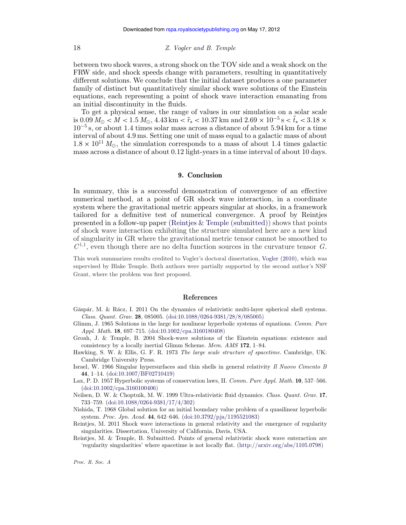between two shock waves, a strong shock on the TOV side and a weak shock on the FRW side, and shock speeds change with parameters, resulting in quantitatively different solutions. We conclude that the initial dataset produces a one parameter family of distinct but quantitatively similar shock wave solutions of the Einstein equations, each representing a point of shock wave interaction emanating from an initial discontinuity in the fluids.

To get a physical sense, the range of values in our simulation on a solar scale is 0.09  $M_{\odot} < M < 1.5 M_{\odot}$ , 4.43 km  $< \bar{r}_* < 10.37$  km and  $2.69 \times 10^{-5}$  s  $< \bar{t}_* < 3.18 \times$ 10−<sup>5</sup> s, or about 1.4 times solar mass across a distance of about 5.94 km for a time interval of about 4.9 ms. Setting one unit of mass equal to a galactic mass of about  $1.8 \times 10^{11} M_{\odot}$ , the simulation corresponds to a mass of about 1.4 times galactic mass across a distance of about 0.12 light-years in a time interval of about 10 days.

#### **9. Conclusion**

In summary, this is a successful demonstration of convergence of an effective numerical method, at a point of GR shock wave interaction, in a coordinate system where the gravitational metric appears singular at shocks, in a framework tailored for a definitive test of numerical convergence. A proof by Reintjes presented in a follow-up paper (Reintjes & Temple (submitted)) shows that points of shock wave interaction exhibiting the structure simulated here are a new kind of singularity in GR where the gravitational metric tensor cannot be smoothed to  $C^{1,1}$ , even though there are no delta function sources in the curvature tensor  $G$ .

This work summarizes results credited to Vogler's doctoral dissertation, Vogler (2010), which was supervised by Blake Temple. Both authors were partially supported by the second author's NSF Grant, where the problem was first proposed.

#### **References**

- Gáspár, M. & Rácz, I. 2011 On the dynamics of relativistic multi-layer spherical shell systems. *Class. Quant. Grav.* **28**, 085005. (doi:10.1088/0264-9381/28/8/085005)
- Glimm, J. 1965 Solutions in the large for nonlinear hyperbolic systems of equations. *Comm. Pure Appl. Math.* **18**, 697–715. (doi:10.1002/cpa.3160180408)
- Groah, J. & Temple, B. 2004 Shock-wave solutions of the Einstein equations: existence and consistency by a locally inertial Glimm Scheme. *Mem. AMS* **172**, 1–84.
- Hawking, S. W. & Ellis, G. F. R. 1973 *The large scale structure of spacetime*. Cambridge, UK: Cambridge University Press.
- Israel, W. 1966 Singular hypersurfaces and thin shells in general relativity *Il Nuovo Cimento B* **44**, 1–14. (doi:10.1007/BF02710419)
- Lax, P. D. 1957 Hyperbolic systems of conservation laws, II. *Comm. Pure Appl. Math.* **10**, 537–566. (doi:10.1002/cpa.3160100406)
- Neilsen, D. W. & Choptuik, M. W. 1999 Ultra-relativistic fluid dynamics. *Class. Quant. Grav.* **17**, 733–759. (doi:10.1088/0264-9381/17/4/302)
- Nishida, T. 1968 Global solution for an initial boundary value problem of a quasilinear hyperbolic system. *Proc. Jpn. Acad.* **44**, 642–646. (doi:10.3792/pja/1195521083)
- Reintjes, M. 2011 Shock wave interactions in general relativity and the emergence of regularity singularities. Dissertation, University of California, Davis, USA.
- Reintjes, M. & Temple, B. Submitted. Points of general relativistic shock wave enteraction are 'regularity singularities' where spacetime is not locally flat. (http://arxiv.org/abs/1105.0798)